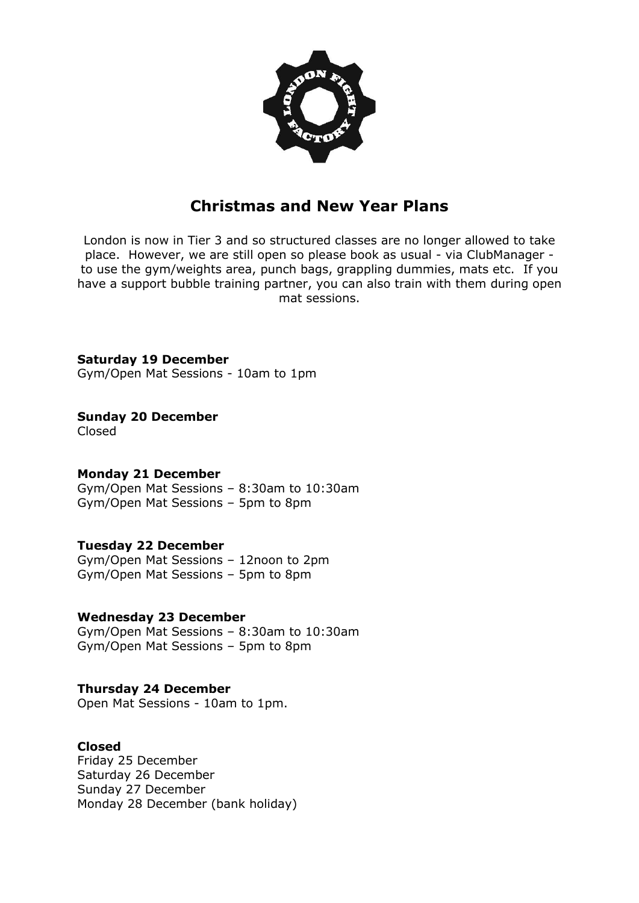

## **Christmas and New Year Plans**

London is now in Tier 3 and so structured classes are no longer allowed to take place. However, we are still open so please book as usual - via ClubManager to use the gym/weights area, punch bags, grappling dummies, mats etc. If you have a support bubble training partner, you can also train with them during open mat sessions.

#### **Saturday 19 December**

Gym/Open Mat Sessions - 10am to 1pm

## **Sunday 20 December**

Closed

#### **Monday 21 December**

Gym/Open Mat Sessions – 8:30am to 10:30am Gym/Open Mat Sessions – 5pm to 8pm

#### **Tuesday 22 December**

Gym/Open Mat Sessions – 12noon to 2pm Gym/Open Mat Sessions – 5pm to 8pm

#### **Wednesday 23 December**

Gym/Open Mat Sessions – 8:30am to 10:30am Gym/Open Mat Sessions – 5pm to 8pm

#### **Thursday 24 December**

Open Mat Sessions - 10am to 1pm.

#### **Closed**

Friday 25 December Saturday 26 December Sunday 27 December Monday 28 December (bank holiday)